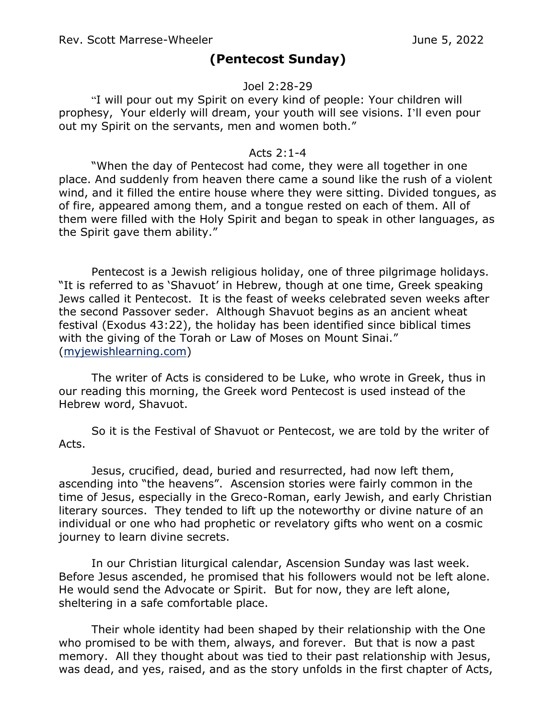## **(Pentecost Sunday)**

## Joel 2:28-29

"I will pour out my Spirit on every kind of people: Your children will prophesy, Your elderly will dream, your youth will see visions. I'll even pour out my Spirit on the servants, men and women both."

## Acts 2:1-4

"When the day of Pentecost had come, they were all together in one place. And suddenly from heaven there came a sound like the rush of a violent wind, and it filled the entire house where they were sitting. Divided tongues, as of fire, appeared among them, and a tongue rested on each of them. All of them were filled with the Holy Spirit and began to speak in other languages, as the Spirit gave them ability."

Pentecost is a Jewish religious holiday, one of three pilgrimage holidays. "It is referred to as 'Shavuot' in Hebrew, though at one time, Greek speaking Jews called it Pentecost. It is the feast of weeks celebrated seven weeks after the second Passover seder. Although Shavuot begins as an ancient wheat festival (Exodus 43:22), the holiday has been identified since biblical times with the giving of the Torah or Law of Moses on Mount Sinai." [\(myjewishlearning.com\)](http://myjewishlearning.com/)

The writer of Acts is considered to be Luke, who wrote in Greek, thus in our reading this morning, the Greek word Pentecost is used instead of the Hebrew word, Shavuot.

So it is the Festival of Shavuot or Pentecost, we are told by the writer of Acts.

Jesus, crucified, dead, buried and resurrected, had now left them, ascending into "the heavens". Ascension stories were fairly common in the time of Jesus, especially in the Greco-Roman, early Jewish, and early Christian literary sources. They tended to lift up the noteworthy or divine nature of an individual or one who had prophetic or revelatory gifts who went on a cosmic journey to learn divine secrets.

In our Christian liturgical calendar, Ascension Sunday was last week. Before Jesus ascended, he promised that his followers would not be left alone. He would send the Advocate or Spirit. But for now, they are left alone, sheltering in a safe comfortable place.

Their whole identity had been shaped by their relationship with the One who promised to be with them, always, and forever. But that is now a past memory. All they thought about was tied to their past relationship with Jesus, was dead, and yes, raised, and as the story unfolds in the first chapter of Acts,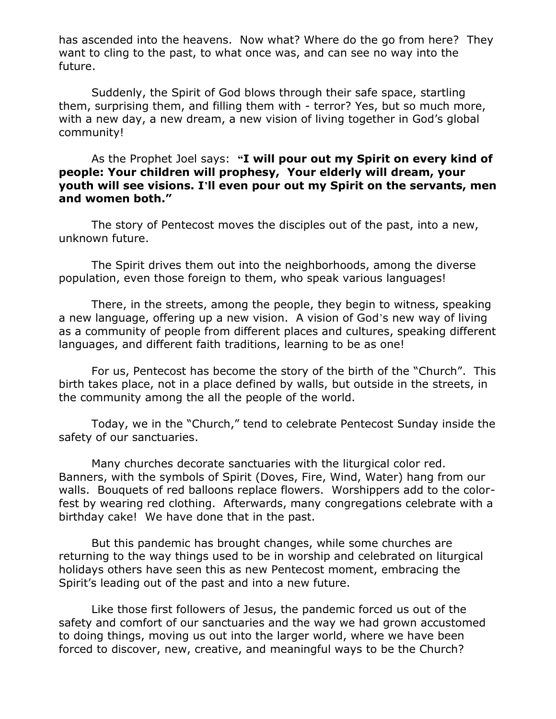has ascended into the heavens. Now what? Where do the go from here? They want to cling to the past, to what once was, and can see no way into the future.

Suddenly, the Spirit of God blows through their safe space, startling them, surprising them, and filling them with - terror? Yes, but so much more, with a new day, a new dream, a new vision of living together in God's global community!

As the Prophet Joel says: **"I will pour out my Spirit on every kind of people: Your children will prophesy, Your elderly will dream, your youth will see visions. I'll even pour out my Spirit on the servants, men and women both."**

The story of Pentecost moves the disciples out of the past, into a new, unknown future.

The Spirit drives them out into the neighborhoods, among the diverse population, even those foreign to them, who speak various languages!

There, in the streets, among the people, they begin to witness, speaking a new language, offering up a new vision. A vision of God's new way of living as a community of people from different places and cultures, speaking different languages, and different faith traditions, learning to be as one!

For us, Pentecost has become the story of the birth of the "Church". This birth takes place, not in a place defined by walls, but outside in the streets, in the community among the all the people of the world.

Today, we in the "Church," tend to celebrate Pentecost Sunday inside the safety of our sanctuaries.

Many churches decorate sanctuaries with the liturgical color red. Banners, with the symbols of Spirit (Doves, Fire, Wind, Water) hang from our walls. Bouquets of red balloons replace flowers. Worshippers add to the colorfest by wearing red clothing. Afterwards, many congregations celebrate with a birthday cake! We have done that in the past.

But this pandemic has brought changes, while some churches are returning to the way things used to be in worship and celebrated on liturgical holidays others have seen this as new Pentecost moment, embracing the Spirit's leading out of the past and into a new future.

Like those first followers of Jesus, the pandemic forced us out of the safety and comfort of our sanctuaries and the way we had grown accustomed to doing things, moving us out into the larger world, where we have been forced to discover, new, creative, and meaningful ways to be the Church?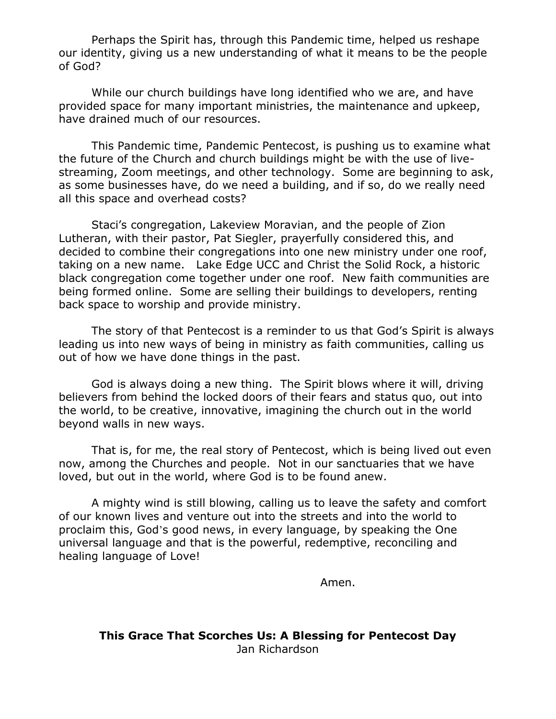Perhaps the Spirit has, through this Pandemic time, helped us reshape our identity, giving us a new understanding of what it means to be the people of God?

While our church buildings have long identified who we are, and have provided space for many important ministries, the maintenance and upkeep, have drained much of our resources.

This Pandemic time, Pandemic Pentecost, is pushing us to examine what the future of the Church and church buildings might be with the use of livestreaming, Zoom meetings, and other technology. Some are beginning to ask, as some businesses have, do we need a building, and if so, do we really need all this space and overhead costs?

Staci's congregation, Lakeview Moravian, and the people of Zion Lutheran, with their pastor, Pat Siegler, prayerfully considered this, and decided to combine their congregations into one new ministry under one roof, taking on a new name. Lake Edge UCC and Christ the Solid Rock, a historic black congregation come together under one roof. New faith communities are being formed online. Some are selling their buildings to developers, renting back space to worship and provide ministry.

The story of that Pentecost is a reminder to us that God's Spirit is always leading us into new ways of being in ministry as faith communities, calling us out of how we have done things in the past.

God is always doing a new thing. The Spirit blows where it will, driving believers from behind the locked doors of their fears and status quo, out into the world, to be creative, innovative, imagining the church out in the world beyond walls in new ways.

That is, for me, the real story of Pentecost, which is being lived out even now, among the Churches and people. Not in our sanctuaries that we have loved, but out in the world, where God is to be found anew.

A mighty wind is still blowing, calling us to leave the safety and comfort of our known lives and venture out into the streets and into the world to proclaim this, God's good news, in every language, by speaking the One universal language and that is the powerful, redemptive, reconciling and healing language of Love!

Amen.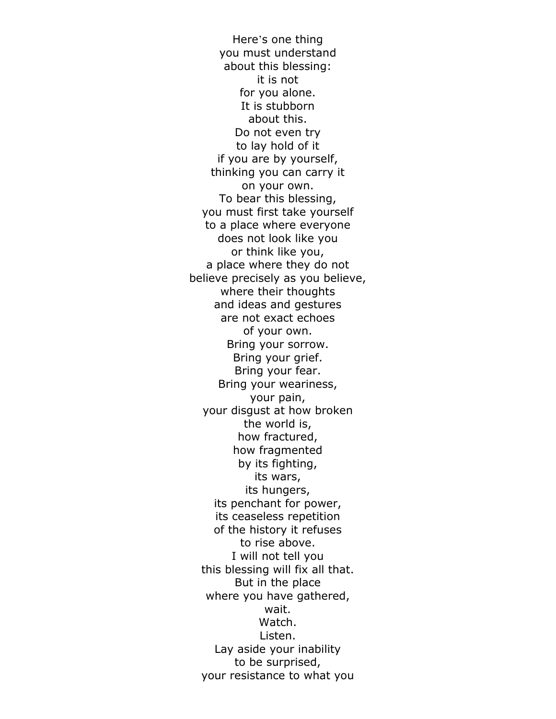Here's one thing you must understand about this blessing: it is not for you alone. It is stubborn about this. Do not even try to lay hold of it if you are by yourself, thinking you can carry it on your own. To bear this blessing, you must first take yourself to a place where everyone does not look like you or think like you, a place where they do not believe precisely as you believe, where their thoughts and ideas and gestures are not exact echoes of your own. Bring your sorrow. Bring your grief. Bring your fear. Bring your weariness, your pain, your disgust at how broken the world is, how fractured, how fragmented by its fighting, its wars, its hungers, its penchant for power, its ceaseless repetition of the history it refuses to rise above. I will not tell you this blessing will fix all that. But in the place where you have gathered, wait. Watch. Listen. Lay aside your inability to be surprised, your resistance to what you